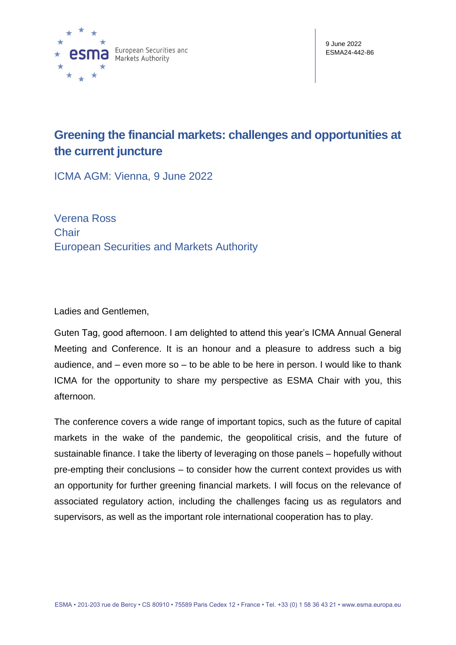

9 June 2022 ESMA24-442-86

# **Greening the financial markets: challenges and opportunities at the current juncture**

ICMA AGM: Vienna, 9 June 2022

Verena Ross **Chair** European Securities and Markets Authority

Ladies and Gentlemen,

Guten Tag, good afternoon. I am delighted to attend this year's ICMA Annual General Meeting and Conference. It is an honour and a pleasure to address such a big audience, and – even more so – to be able to be here in person. I would like to thank ICMA for the opportunity to share my perspective as ESMA Chair with you, this afternoon.

The conference covers a wide range of important topics, such as the future of capital markets in the wake of the pandemic, the geopolitical crisis, and the future of sustainable finance. I take the liberty of leveraging on those panels – hopefully without pre-empting their conclusions – to consider how the current context provides us with an opportunity for further greening financial markets. I will focus on the relevance of associated regulatory action, including the challenges facing us as regulators and supervisors, as well as the important role international cooperation has to play.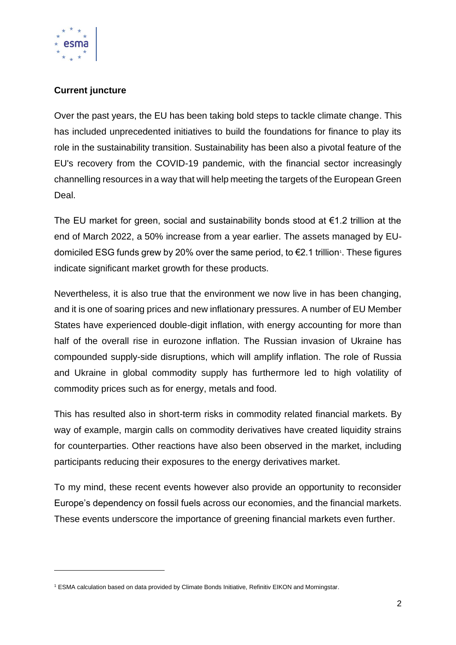

## **Current juncture**

Over the past years, the EU has been taking bold steps to tackle climate change. This has included unprecedented initiatives to build the foundations for finance to play its role in the sustainability transition. Sustainability has been also a pivotal feature of the EU's recovery from the COVID-19 pandemic, with the financial sector increasingly channelling resources in a way that will help meeting the targets of the European Green Deal.

The EU market for green, social and sustainability bonds stood at  $\epsilon$ 1.2 trillion at the end of March 2022, a 50% increase from a year earlier. The assets managed by EUdomiciled ESG funds grew by 20% over the same period, to €2.1 trillion<sup>1</sup>. These figures indicate significant market growth for these products.

Nevertheless, it is also true that the environment we now live in has been changing, and it is one of soaring prices and new inflationary pressures. A number of EU Member States have experienced double-digit inflation, with energy accounting for more than half of the overall rise in eurozone inflation. The Russian invasion of Ukraine has compounded supply-side disruptions, which will amplify inflation. The role of Russia and Ukraine in global commodity supply has furthermore led to high volatility of commodity prices such as for energy, metals and food.

This has resulted also in short-term risks in commodity related financial markets. By way of example, margin calls on commodity derivatives have created liquidity strains for counterparties. Other reactions have also been observed in the market, including participants reducing their exposures to the energy derivatives market.

To my mind, these recent events however also provide an opportunity to reconsider Europe's dependency on fossil fuels across our economies, and the financial markets. These events underscore the importance of greening financial markets even further.

<sup>1</sup> ESMA calculation based on data provided by Climate Bonds Initiative, Refinitiv EIKON and Morningstar.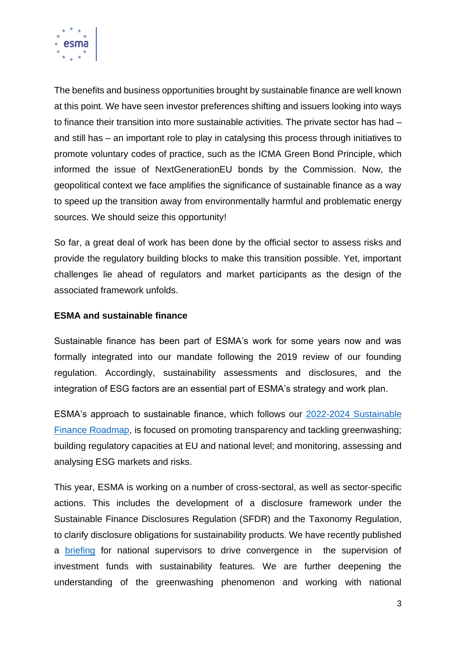

The benefits and business opportunities brought by sustainable finance are well known at this point. We have seen investor preferences shifting and issuers looking into ways to finance their transition into more sustainable activities. The private sector has had – and still has – an important role to play in catalysing this process through initiatives to promote voluntary codes of practice, such as the ICMA Green Bond Principle, which informed the issue of NextGenerationEU bonds by the Commission. Now, the geopolitical context we face amplifies the significance of sustainable finance as a way to speed up the transition away from environmentally harmful and problematic energy sources. We should seize this opportunity!

So far, a great deal of work has been done by the official sector to assess risks and provide the regulatory building blocks to make this transition possible. Yet, important challenges lie ahead of regulators and market participants as the design of the associated framework unfolds.

### **ESMA and sustainable finance**

Sustainable finance has been part of ESMA's work for some years now and was formally integrated into our mandate following the 2019 review of our founding regulation. Accordingly, sustainability assessments and disclosures, and the integration of ESG factors are an essential part of ESMA's strategy and work plan.

ESMA's approach to sustainable finance, which follows our [2022-2024 Sustainable](https://www.esma.europa.eu/sites/default/files/library/esma30-379-1051_sustainable_finance_roadmap.pdf)  [Finance Roadmap,](https://www.esma.europa.eu/sites/default/files/library/esma30-379-1051_sustainable_finance_roadmap.pdf) is focused on promoting transparency and tackling greenwashing; building regulatory capacities at EU and national level; and monitoring, assessing and analysing ESG markets and risks.

This year, ESMA is working on a number of cross-sectoral, as well as sector-specific actions. This includes the development of a disclosure framework under the Sustainable Finance Disclosures Regulation (SFDR) and the Taxonomy Regulation, to clarify disclosure obligations for sustainability products. We have recently published a [briefing](https://www.esma.europa.eu/sites/default/files/library/esma34-45-1427_supervisory_briefing_on_sustainability_risks_and_disclosures.pdf) for national supervisors to drive convergence in the supervision of investment funds with sustainability features. We are further deepening the understanding of the greenwashing phenomenon and working with national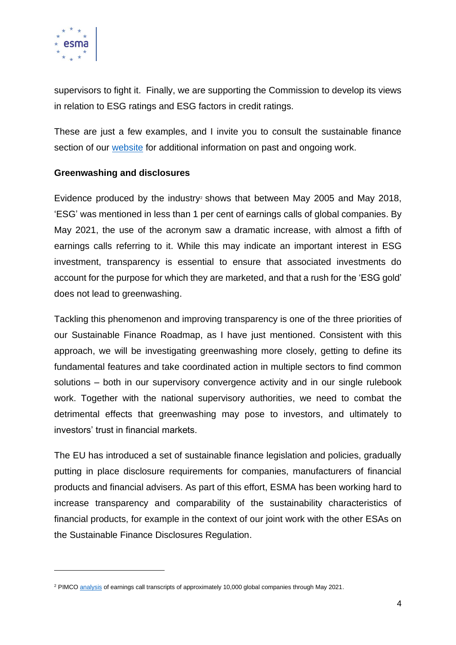

supervisors to fight it. Finally, we are supporting the Commission to develop its views in relation to ESG ratings and ESG factors in credit ratings.

These are just a few examples, and I invite you to consult the sustainable finance section of our [website](https://www.esma.europa.eu/policy-activities/sustainable-finance) for additional information on past and ongoing work.

## **Greenwashing and disclosures**

Evidence produced by the industry<sup>2</sup> shows that between May 2005 and May 2018, 'ESG' was mentioned in less than 1 per cent of earnings calls of global companies. By May 2021, the use of the acronym saw a dramatic increase, with almost a fifth of earnings calls referring to it. While this may indicate an important interest in ESG investment, transparency is essential to ensure that associated investments do account for the purpose for which they are marketed, and that a rush for the 'ESG gold' does not lead to greenwashing.

Tackling this phenomenon and improving transparency is one of the three priorities of our Sustainable Finance Roadmap, as I have just mentioned. Consistent with this approach, we will be investigating greenwashing more closely, getting to define its fundamental features and take coordinated action in multiple sectors to find common solutions – both in our supervisory convergence activity and in our single rulebook work. Together with the national supervisory authorities, we need to combat the detrimental effects that greenwashing may pose to investors, and ultimately to investors' trust in financial markets.

The EU has introduced a set of sustainable finance legislation and policies, gradually putting in place disclosure requirements for companies, manufacturers of financial products and financial advisers. As part of this effort, ESMA has been working hard to increase transparency and comparability of the sustainability characteristics of financial products, for example in the context of our joint work with the other ESAs on the Sustainable Finance Disclosures Regulation.

<sup>2</sup> PIMC[O analysis](https://nl.pimco.com/en-nl/insights/economic-and-market-commentary/global-markets/asset-allocation-outlook/mid-cycle-investing-time-to-get-selective/?r=Financial%20Intermediary&l=Netherlands&s=true&lang=en-nl) of earnings call transcripts of approximately 10,000 global companies through May 2021.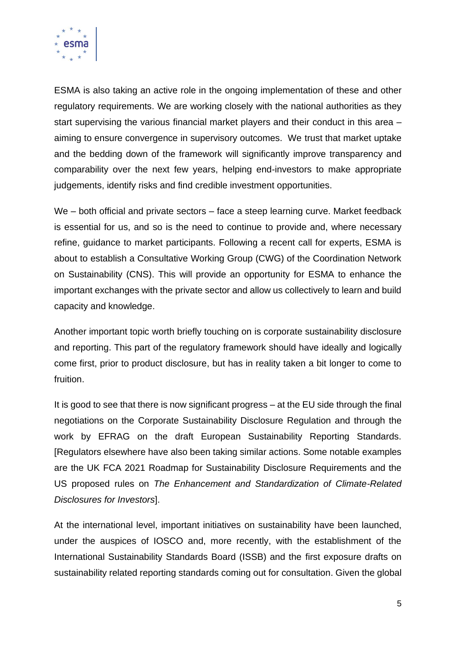

ESMA is also taking an active role in the ongoing implementation of these and other regulatory requirements. We are working closely with the national authorities as they start supervising the various financial market players and their conduct in this area – aiming to ensure convergence in supervisory outcomes. We trust that market uptake and the bedding down of the framework will significantly improve transparency and comparability over the next few years, helping end-investors to make appropriate judgements, identify risks and find credible investment opportunities.

We – both official and private sectors – face a steep learning curve. Market feedback is essential for us, and so is the need to continue to provide and, where necessary refine, guidance to market participants. Following a recent call for experts, ESMA is about to establish a Consultative Working Group (CWG) of the Coordination Network on Sustainability (CNS). This will provide an opportunity for ESMA to enhance the important exchanges with the private sector and allow us collectively to learn and build capacity and knowledge.

Another important topic worth briefly touching on is corporate sustainability disclosure and reporting. This part of the regulatory framework should have ideally and logically come first, prior to product disclosure, but has in reality taken a bit longer to come to fruition.

It is good to see that there is now significant progress – at the EU side through the final negotiations on the Corporate Sustainability Disclosure Regulation and through the work by EFRAG on the draft European Sustainability Reporting Standards. [Regulators elsewhere have also been taking similar actions. Some notable examples are the UK FCA 2021 Roadmap for Sustainability Disclosure Requirements and the US proposed rules on *The Enhancement and Standardization of Climate-Related Disclosures for Investors*].

At the international level, important initiatives on sustainability have been launched, under the auspices of IOSCO and, more recently, with the establishment of the International Sustainability Standards Board (ISSB) and the first exposure drafts on sustainability related reporting standards coming out for consultation. Given the global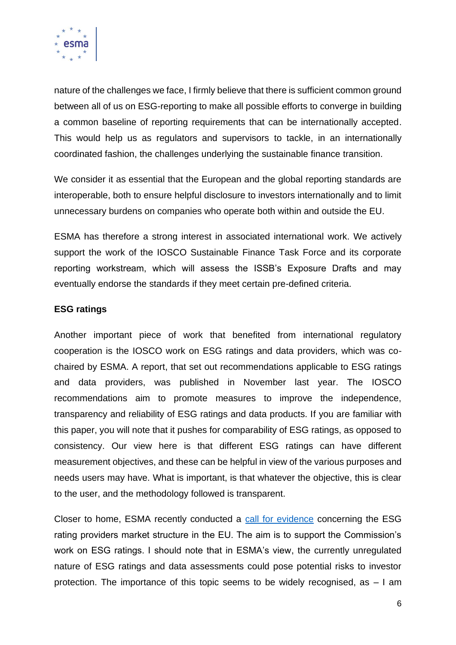

nature of the challenges we face, I firmly believe that there is sufficient common ground between all of us on ESG-reporting to make all possible efforts to converge in building a common baseline of reporting requirements that can be internationally accepted. This would help us as regulators and supervisors to tackle, in an internationally coordinated fashion, the challenges underlying the sustainable finance transition.

We consider it as essential that the European and the global reporting standards are interoperable, both to ensure helpful disclosure to investors internationally and to limit unnecessary burdens on companies who operate both within and outside the EU.

ESMA has therefore a strong interest in associated international work. We actively support the work of the IOSCO Sustainable Finance Task Force and its corporate reporting workstream, which will assess the ISSB's Exposure Drafts and may eventually endorse the standards if they meet certain pre-defined criteria.

#### **ESG ratings**

Another important piece of work that benefited from international regulatory cooperation is the IOSCO work on ESG ratings and data providers, which was cochaired by ESMA. A report, that set out recommendations applicable to ESG ratings and data providers, was published in November last year. The IOSCO recommendations aim to promote measures to improve the independence, transparency and reliability of ESG ratings and data products. If you are familiar with this paper, you will note that it pushes for comparability of ESG ratings, as opposed to consistency. Our view here is that different ESG ratings can have different measurement objectives, and these can be helpful in view of the various purposes and needs users may have. What is important, is that whatever the objective, this is clear to the user, and the methodology followed is transparent.

Closer to home, ESMA recently conducted a [call for evidence](https://www.esma.europa.eu/press-news/consultations/call-evidence-market-characteristics-esg-rating-providers-in-eu) concerning the ESG rating providers market structure in the EU. The aim is to support the Commission's work on ESG ratings. I should note that in ESMA's view, the currently unregulated nature of ESG ratings and data assessments could pose potential risks to investor protection. The importance of this topic seems to be widely recognised, as  $-1$  am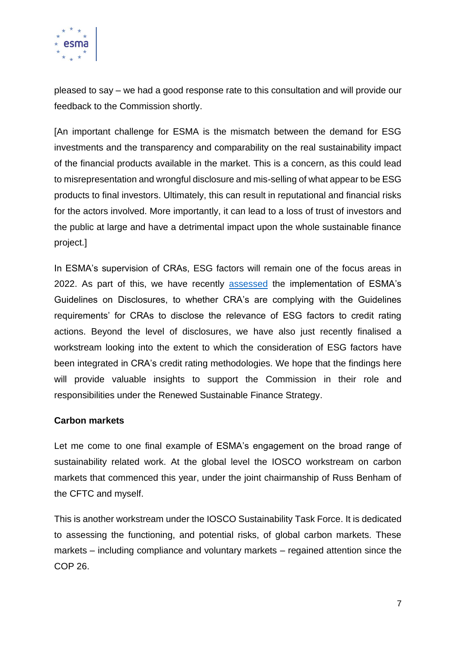

pleased to say – we had a good response rate to this consultation and will provide our feedback to the Commission shortly.

[An important challenge for ESMA is the mismatch between the demand for ESG investments and the transparency and comparability on the real sustainability impact of the financial products available in the market. This is a concern, as this could lead to misrepresentation and wrongful disclosure and mis-selling of what appear to be ESG products to final investors. Ultimately, this can result in reputational and financial risks for the actors involved. More importantly, it can lead to a loss of trust of investors and the public at large and have a detrimental impact upon the whole sustainable finance project.]

In ESMA's supervision of CRAs, ESG factors will remain one of the focus areas in 2022. As part of this, we have recently [assessed](https://www.esma.europa.eu/sites/default/files/library/esma80-195-1352_cra_esg_disclosures.pdf) the implementation of ESMA's Guidelines on Disclosures, to whether CRA's are complying with the Guidelines requirements' for CRAs to disclose the relevance of ESG factors to credit rating actions. Beyond the level of disclosures, we have also just recently finalised a workstream looking into the extent to which the consideration of ESG factors have been integrated in CRA's credit rating methodologies. We hope that the findings here will provide valuable insights to support the Commission in their role and responsibilities under the Renewed Sustainable Finance Strategy.

#### **Carbon markets**

Let me come to one final example of ESMA's engagement on the broad range of sustainability related work. At the global level the IOSCO workstream on carbon markets that commenced this year, under the joint chairmanship of Russ Benham of the CFTC and myself.

This is another workstream under the IOSCO Sustainability Task Force. It is dedicated to assessing the functioning, and potential risks, of global carbon markets. These markets – including compliance and voluntary markets – regained attention since the COP 26.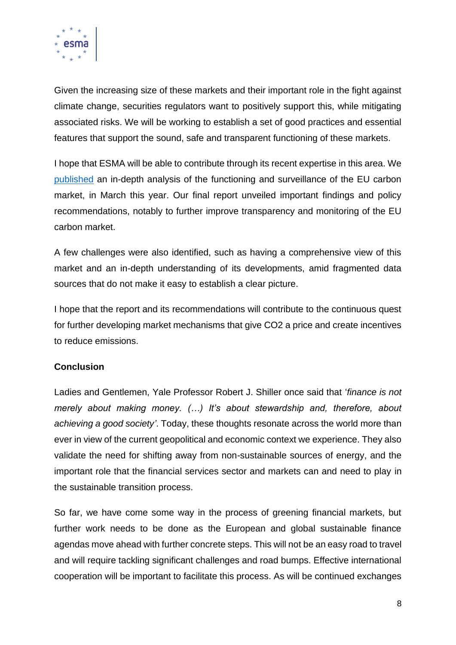

Given the increasing size of these markets and their important role in the fight against climate change, securities regulators want to positively support this, while mitigating associated risks. We will be working to establish a set of good practices and essential features that support the sound, safe and transparent functioning of these markets.

I hope that ESMA will be able to contribute through its recent expertise in this area. We [published](https://www.esma.europa.eu/sites/default/files/library/esma70-445-38_final_report_on_emission_allowances_and_associated_derivatives.pdf) an in-depth analysis of the functioning and surveillance of the EU carbon market, in March this year. Our final report unveiled important findings and policy recommendations, notably to further improve transparency and monitoring of the EU carbon market.

A few challenges were also identified, such as having a comprehensive view of this market and an in-depth understanding of its developments, amid fragmented data sources that do not make it easy to establish a clear picture.

I hope that the report and its recommendations will contribute to the continuous quest for further developing market mechanisms that give CO2 a price and create incentives to reduce emissions.

## **Conclusion**

Ladies and Gentlemen, Yale Professor Robert J. Shiller once said that '*finance is not merely about making money. (…) It's about stewardship and, therefore, about achieving a good society'*. Today, these thoughts resonate across the world more than ever in view of the current geopolitical and economic context we experience. They also validate the need for shifting away from non-sustainable sources of energy, and the important role that the financial services sector and markets can and need to play in the sustainable transition process.

So far, we have come some way in the process of greening financial markets, but further work needs to be done as the European and global sustainable finance agendas move ahead with further concrete steps. This will not be an easy road to travel and will require tackling significant challenges and road bumps. Effective international cooperation will be important to facilitate this process. As will be continued exchanges